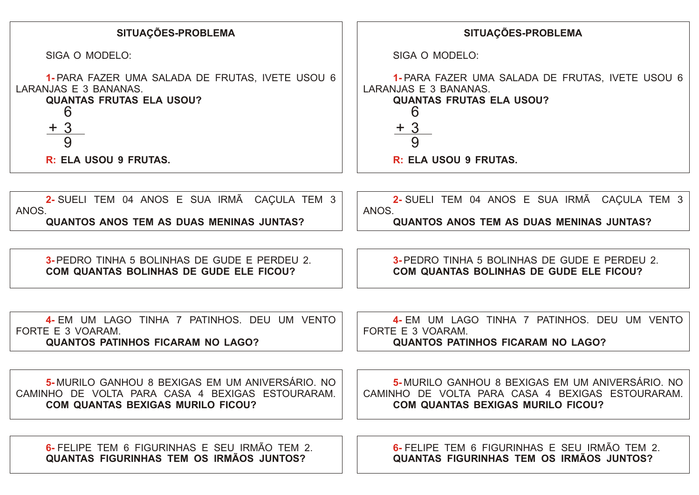| SITUAÇÕES-PROBLEMA                                                                                                                              | SITUAÇÕES-PROBLEMA                                                                                                                              |
|-------------------------------------------------------------------------------------------------------------------------------------------------|-------------------------------------------------------------------------------------------------------------------------------------------------|
| SIGA O MODELO:                                                                                                                                  | SIGA O MODELO:                                                                                                                                  |
| 1- PARA FAZER UMA SALADA DE FRUTAS, IVETE USOU 6<br>LARANJAS E 3 BANANAS.<br><b>QUANTAS FRUTAS ELA USOU?</b><br>6                               | 1- PARA FAZER UMA SALADA DE FRUTAS, IVETE USOU 6<br>LARANJAS E 3 BANANAS.<br><b>QUANTAS FRUTAS ELA USOU?</b><br>6                               |
| $+3$<br>9                                                                                                                                       | <u>+ 3</u><br>9                                                                                                                                 |
| R: ELA USOU 9 FRUTAS.                                                                                                                           | R: ELA USOU 9 FRUTAS.                                                                                                                           |
|                                                                                                                                                 |                                                                                                                                                 |
| 2- SUELI TEM 04 ANOS E SUA IRMÃ CAÇULA TEM 3<br>ANOS.                                                                                           | 2-SUELI TEM 04 ANOS E SUA IRMÃ CAÇULA TEM 3<br>ANOS.                                                                                            |
| <b>QUANTOS ANOS TEM AS DUAS MENINAS JUNTAS?</b>                                                                                                 | <b>QUANTOS ANOS TEM AS DUAS MENINAS JUNTAS?</b>                                                                                                 |
|                                                                                                                                                 |                                                                                                                                                 |
| 3-PEDRO TINHA 5 BOLINHAS DE GUDE E PERDEU 2.<br>COM QUANTAS BOLINHAS DE GUDE ELE FICOU?                                                         | <b>3-PEDRO TINHA 5 BOLINHAS DE GUDE E PERDEU 2.</b><br>COM QUANTAS BOLINHAS DE GUDE ELE FICOU?                                                  |
|                                                                                                                                                 |                                                                                                                                                 |
| 4- EM UM LAGO TINHA 7 PATINHOS. DEU UM VENTO<br>FORTE E 3 VOARAM.<br><b>QUANTOS PATINHOS FICARAM NO LAGO?</b>                                   | 4- EM UM LAGO TINHA 7 PATINHOS. DEU UM VENTO<br>FORTE E 3 VOARAM.<br><b>QUANTOS PATINHOS FICARAM NO LAGO?</b>                                   |
|                                                                                                                                                 |                                                                                                                                                 |
| 5-MURILO GANHOU 8 BEXIGAS EM UM ANIVERSÁRIO. NO<br>CAMINHO DE VOLTA PARA CASA 4 BEXIGAS ESTOURARAM.<br><b>COM QUANTAS BEXIGAS MURILO FICOU?</b> | 5-MURILO GANHOU 8 BEXIGAS EM UM ANIVERSÁRIO. NO<br>CAMINHO DE VOLTA PARA CASA 4 BEXIGAS ESTOURARAM.<br><b>COM QUANTAS BEXIGAS MURILO FICOU?</b> |
|                                                                                                                                                 |                                                                                                                                                 |
| 6- FELIPE TEM 6 FIGURINHAS E SEU IRMÃO TEM 2.<br><b>QUANTAS FIGURINHAS TEM OS IRMÃOS JUNTOS?</b>                                                | 6- FELIPE TEM 6 FIGURINHAS E SEU IRMÃO TEM 2.<br>QUANTAS FIGURINHAS TEM OS IRMÃOS JUNTOS?                                                       |